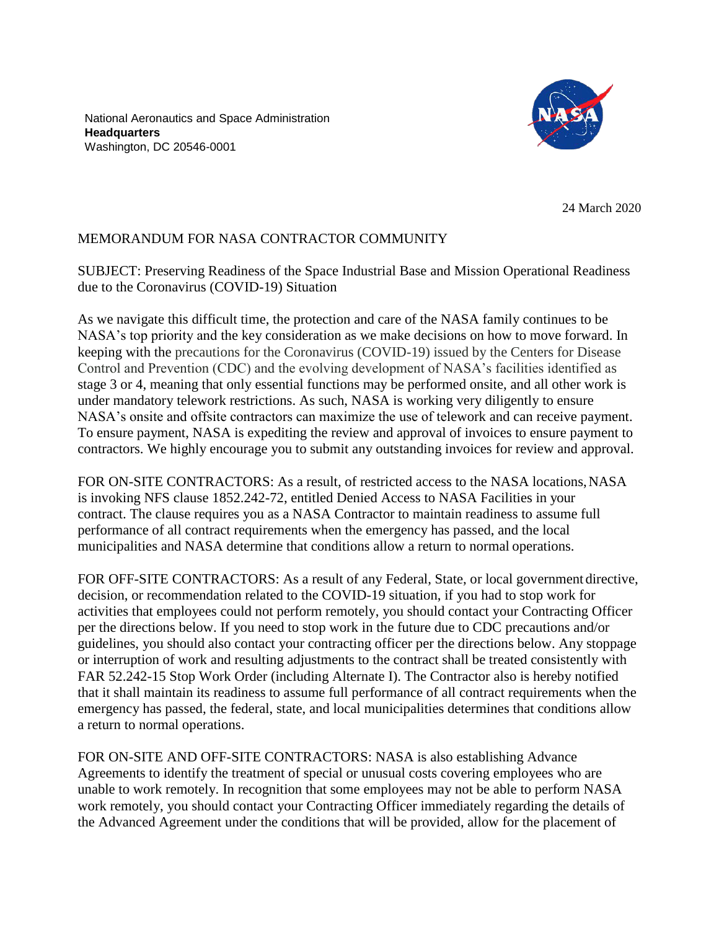National Aeronautics and Space Administration **Headquarters** Washington, DC 20546-0001



24 March 2020

## MEMORANDUM FOR NASA CONTRACTOR COMMUNITY

SUBJECT: Preserving Readiness of the Space Industrial Base and Mission Operational Readiness due to the Coronavirus (COVID-19) Situation

As we navigate this difficult time, the protection and care of the NASA family continues to be NASA's top priority and the key consideration as we make decisions on how to move forward. In keeping with the precautions for the Coronavirus (COVID-19) issued by the Centers for Disease Control and Prevention (CDC) and the evolving development of NASA's facilities identified as stage 3 or 4, meaning that only essential functions may be performed onsite, and all other work is under mandatory telework restrictions. As such, NASA is working very diligently to ensure NASA's onsite and offsite contractors can maximize the use of telework and can receive payment. To ensure payment, NASA is expediting the review and approval of invoices to ensure payment to contractors. We highly encourage you to submit any outstanding invoices for review and approval.

FOR ON-SITE CONTRACTORS: As a result, of restricted access to the NASA locations, NASA is invoking NFS clause 1852.242-72, entitled Denied Access to NASA Facilities in your contract. The clause requires you as a NASA Contractor to maintain readiness to assume full performance of all contract requirements when the emergency has passed, and the local municipalities and NASA determine that conditions allow a return to normal operations.

FOR OFF-SITE CONTRACTORS: As a result of any Federal, State, or local government directive, decision, or recommendation related to the COVID-19 situation, if you had to stop work for activities that employees could not perform remotely, you should contact your Contracting Officer per the directions below. If you need to stop work in the future due to CDC precautions and/or guidelines, you should also contact your contracting officer per the directions below. Any stoppage or interruption of work and resulting adjustments to the contract shall be treated consistently with FAR 52.242-15 Stop Work Order (including Alternate I). The Contractor also is hereby notified that it shall maintain its readiness to assume full performance of all contract requirements when the emergency has passed, the federal, state, and local municipalities determines that conditions allow a return to normal operations.

FOR ON-SITE AND OFF-SITE CONTRACTORS: NASA is also establishing Advance Agreements to identify the treatment of special or unusual costs covering employees who are unable to work remotely. In recognition that some employees may not be able to perform NASA work remotely, you should contact your Contracting Officer immediately regarding the details of the Advanced Agreement under the conditions that will be provided, allow for the placement of